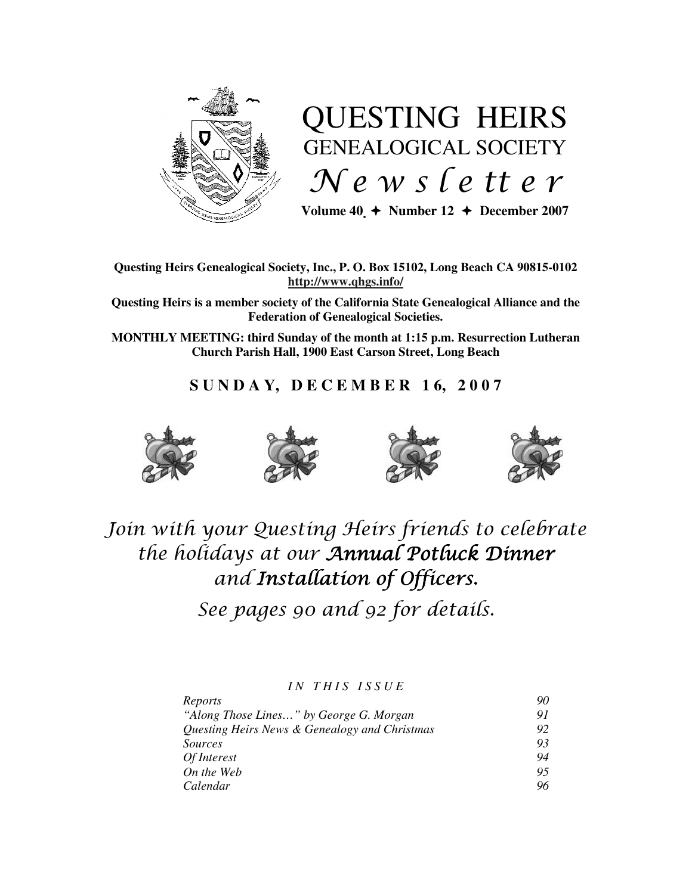

# QUESTING HEIRS GENEALOGICAL SOCIETY  $Ne$  w s letter

Volume  $40 \div \text{Number 12} \div \text{December 2007}$ 

## **Questing Heirs Genealogical Society, Inc., P. O. Box 15102, Long Beach CA 90815-0102 http://www.qhgs.info/**

**Questing Heirs is a member society of the California State Genealogical Alliance and the Federation of Genealogical Societies.** 

**MONTHLY MEETING: third Sunday of the month at 1:15 p.m. Resurrection Lutheran Church Parish Hall, 1900 East Carson Street, Long Beach** 

## **S U N D A Y, D E C E M B E R 1 6, 2 0 0 7**









## Join with your Questing Heirs friends to celebrate the holidays at our Annual Potluck Dinner and Installation of Officers.

See pages 90 and 92 for details.

*I N T H I S I S S U E* 

| Reports                                       | 90 |
|-----------------------------------------------|----|
| "Along Those Lines" by George G. Morgan       | 91 |
| Questing Heirs News & Genealogy and Christmas | 92 |
| Sources                                       | 93 |
| Of Interest                                   | 94 |
| On the Web                                    | 95 |
| Calendar                                      | 96 |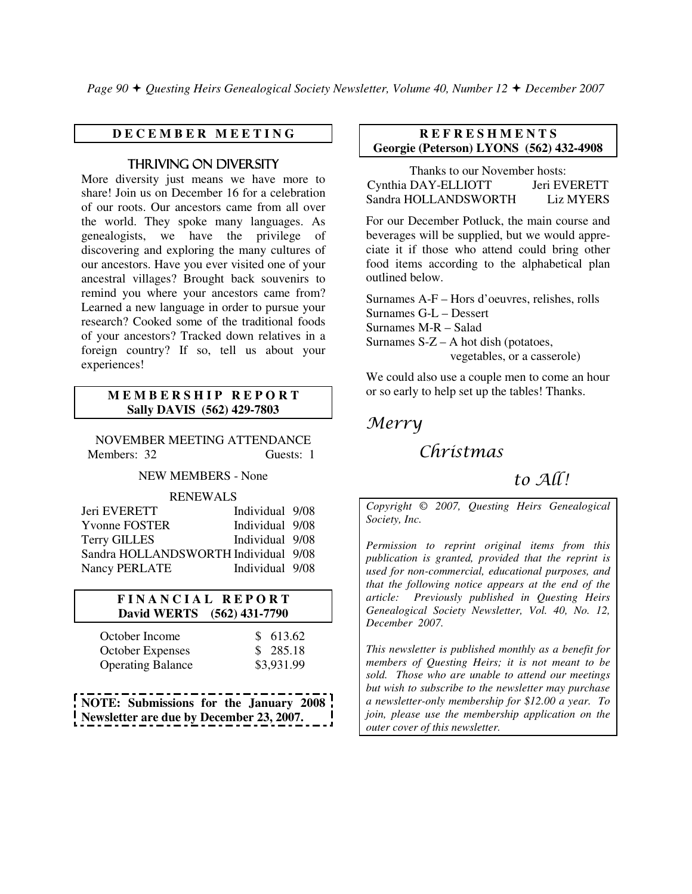*Page 90 Questing Heirs Genealogical Society Newsletter, Volume 40, Number 12 December 2007*

## **D E C E M B E R M E E T I N G**

## THRIVING ON DIVERSITY

More diversity just means we have more to share! Join us on December 16 for a celebration of our roots. Our ancestors came from all over the world. They spoke many languages. As genealogists, we have the privilege of discovering and exploring the many cultures of our ancestors. Have you ever visited one of your ancestral villages? Brought back souvenirs to remind you where your ancestors came from? Learned a new language in order to pursue your research? Cooked some of the traditional foods of your ancestors? Tracked down relatives in a foreign country? If so, tell us about your experiences!

#### **M E M B E R S H I P R E P O R T Sally DAVIS (562) 429-7803**

NOVEMBER MEETING ATTENDANCE Members: 32 Guests: 1

NEW MEMBERS - None

#### RENEWALS

| Jeri EVERETT                         | Individual 9/08 |  |
|--------------------------------------|-----------------|--|
| <b>Yvonne FOSTER</b>                 | Individual 9/08 |  |
| <b>Terry GILLES</b>                  | Individual 9/08 |  |
| Sandra HOLLANDSWORTH Individual 9/08 |                 |  |
| Nancy PERLATE                        | Individual 9/08 |  |

## **F I N A N C I A L R E P O R T David WERTS (562) 431-7790**

| October Income           | \$613.62   |
|--------------------------|------------|
| <b>October Expenses</b>  | \$285.18   |
| <b>Operating Balance</b> | \$3,931.99 |

**NOTE: Submissions for the January 2008 Newsletter are due by December 23, 2007.** 

## **R E F R E S H M E N T S Georgie (Peterson) LYONS (562) 432-4908**

Thanks to our November hosts: Cynthia DAY-ELLIOTT Jeri EVERETT Sandra HOLLANDSWORTH Liz MYERS

For our December Potluck, the main course and beverages will be supplied, but we would appreciate it if those who attend could bring other food items according to the alphabetical plan outlined below.

Surnames A-F – Hors d'oeuvres, relishes, rolls Surnames G-L – Dessert Surnames M-R – Salad Surnames  $S-Z - A$  hot dish (potatoes, vegetables, or a casserole)

We could also use a couple men to come an hour or so early to help set up the tables! Thanks.

## Merry

## Christmas

## to  $AI$

*Copyright* © *2007, Questing Heirs Genealogical Society, Inc.* 

*Permission to reprint original items from this publication is granted, provided that the reprint is used for non-commercial, educational purposes, and that the following notice appears at the end of the article: Previously published in Questing Heirs Genealogical Society Newsletter, Vol. 40, No. 12, December 2007.* 

*This newsletter is published monthly as a benefit for members of Questing Heirs; it is not meant to be sold. Those who are unable to attend our meetings but wish to subscribe to the newsletter may purchase a newsletter-only membership for \$12.00 a year. To join, please use the membership application on the outer cover of this newsletter.*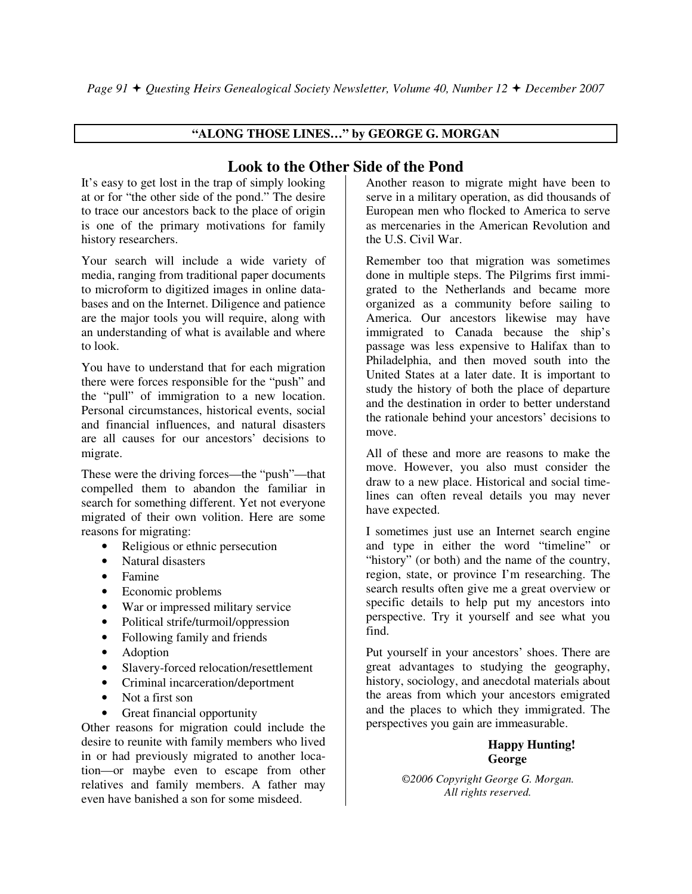## **"ALONG THOSE LINES…" by GEORGE G. MORGAN**

## **Look to the Other Side of the Pond**

It's easy to get lost in the trap of simply looking at or for "the other side of the pond." The desire to trace our ancestors back to the place of origin is one of the primary motivations for family history researchers.

Your search will include a wide variety of media, ranging from traditional paper documents to microform to digitized images in online databases and on the Internet. Diligence and patience are the major tools you will require, along with an understanding of what is available and where to look.

You have to understand that for each migration there were forces responsible for the "push" and the "pull" of immigration to a new location. Personal circumstances, historical events, social and financial influences, and natural disasters are all causes for our ancestors' decisions to migrate.

These were the driving forces—the "push"—that compelled them to abandon the familiar in search for something different. Yet not everyone migrated of their own volition. Here are some reasons for migrating:

- Religious or ethnic persecution
- Natural disasters
- Famine
- Economic problems
- War or impressed military service
- Political strife/turmoil/oppression
- Following family and friends
- Adoption
- Slavery-forced relocation/resettlement
- Criminal incarceration/deportment
- Not a first son
- Great financial opportunity

Other reasons for migration could include the desire to reunite with family members who lived in or had previously migrated to another location—or maybe even to escape from other relatives and family members. A father may even have banished a son for some misdeed.

Another reason to migrate might have been to serve in a military operation, as did thousands of European men who flocked to America to serve as mercenaries in the American Revolution and the U.S. Civil War.

Remember too that migration was sometimes done in multiple steps. The Pilgrims first immigrated to the Netherlands and became more organized as a community before sailing to America. Our ancestors likewise may have immigrated to Canada because the ship's passage was less expensive to Halifax than to Philadelphia, and then moved south into the United States at a later date. It is important to study the history of both the place of departure and the destination in order to better understand the rationale behind your ancestors' decisions to move.

All of these and more are reasons to make the move. However, you also must consider the draw to a new place. Historical and social timelines can often reveal details you may never have expected.

I sometimes just use an Internet search engine and type in either the word "timeline" or "history" (or both) and the name of the country, region, state, or province I'm researching. The search results often give me a great overview or specific details to help put my ancestors into perspective. Try it yourself and see what you find.

Put yourself in your ancestors' shoes. There are great advantages to studying the geography, history, sociology, and anecdotal materials about the areas from which your ancestors emigrated and the places to which they immigrated. The perspectives you gain are immeasurable.

## **Happy Hunting! George**

*©2006 Copyright George G. Morgan. All rights reserved.*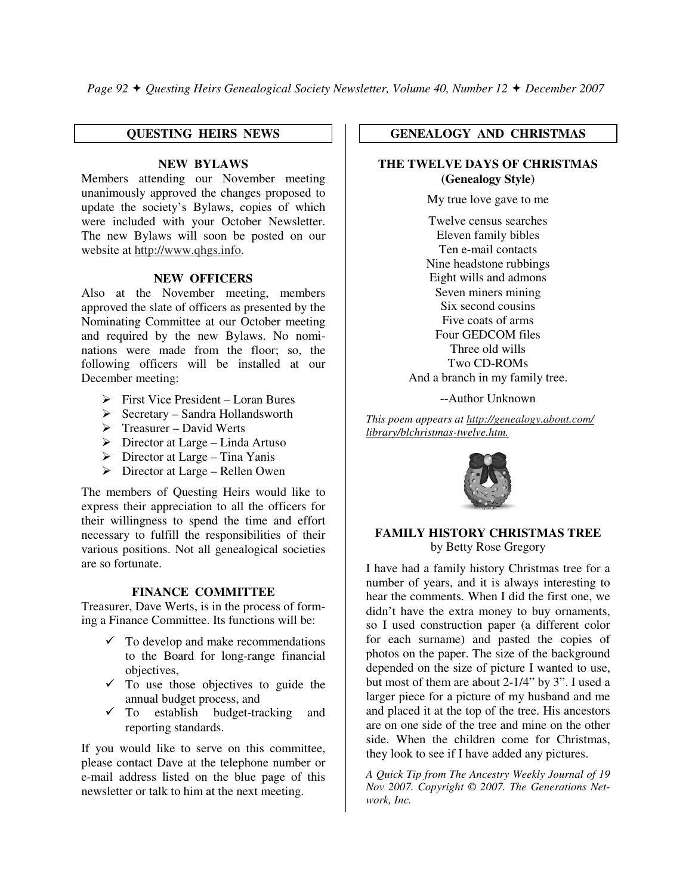*Page 92 Questing Heirs Genealogical Society Newsletter, Volume 40, Number 12 December 2007* 

## **QUESTING HEIRS NEWS**

## **NEW BYLAWS**

Members attending our November meeting unanimously approved the changes proposed to update the society's Bylaws, copies of which were included with your October Newsletter. The new Bylaws will soon be posted on our website at http://www.qhgs.info.

## **NEW OFFICERS**

Also at the November meeting, members approved the slate of officers as presented by the Nominating Committee at our October meeting and required by the new Bylaws. No nominations were made from the floor; so, the following officers will be installed at our December meeting:

- First Vice President Loran Bures
- Secretary Sandra Hollandsworth
- > Treasurer David Werts
- Director at Large Linda Artuso
- > Director at Large Tina Yanis
- ► Director at Large Rellen Owen

The members of Questing Heirs would like to express their appreciation to all the officers for their willingness to spend the time and effort necessary to fulfill the responsibilities of their various positions. Not all genealogical societies are so fortunate.

## **FINANCE COMMITTEE**

Treasurer, Dave Werts, is in the process of forming a Finance Committee. Its functions will be:

- $\checkmark$  To develop and make recommendations to the Board for long-range financial objectives,
- $\checkmark$  To use those objectives to guide the annual budget process, and
- $\checkmark$  To establish budget-tracking and reporting standards.

If you would like to serve on this committee, please contact Dave at the telephone number or e-mail address listed on the blue page of this newsletter or talk to him at the next meeting.

## **GENEALOGY AND CHRISTMAS**

## **THE TWELVE DAYS OF CHRISTMAS (Genealogy Style)**

My true love gave to me

Twelve census searches Eleven family bibles Ten e-mail contacts Nine headstone rubbings Eight wills and admons Seven miners mining Six second cousins Five coats of arms Four GEDCOM files Three old wills Two CD-ROMs And a branch in my family tree.

--Author Unknown

*This poem appears at http://genealogy.about.com/ library/blchristmas-twelve.htm.*



#### **FAMILY HISTORY CHRISTMAS TREE**  by Betty Rose Gregory

I have had a family history Christmas tree for a number of years, and it is always interesting to hear the comments. When I did the first one, we didn't have the extra money to buy ornaments, so I used construction paper (a different color for each surname) and pasted the copies of photos on the paper. The size of the background depended on the size of picture I wanted to use, but most of them are about 2-1/4" by 3". I used a larger piece for a picture of my husband and me and placed it at the top of the tree. His ancestors are on one side of the tree and mine on the other side. When the children come for Christmas, they look to see if I have added any pictures.

*A Quick Tip from The Ancestry Weekly Journal of 19 Nov 2007. Copyright © 2007. The Generations Network, Inc.*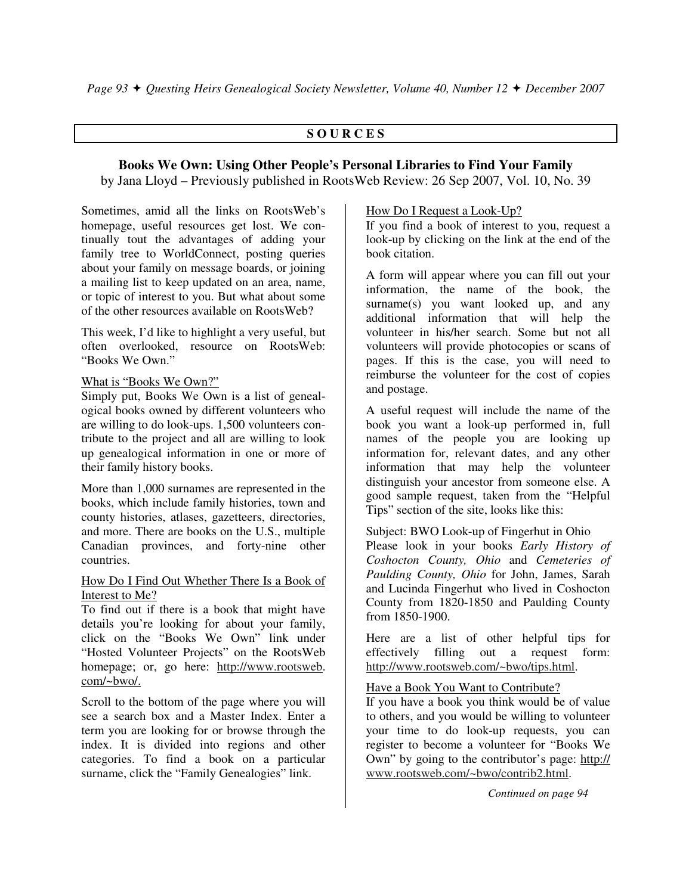## **S O U R C E S**

## **Books We Own: Using Other People's Personal Libraries to Find Your Family**

by Jana Lloyd – Previously published in RootsWeb Review: 26 Sep 2007, Vol. 10, No. 39

Sometimes, amid all the links on RootsWeb's homepage, useful resources get lost. We continually tout the advantages of adding your family tree to WorldConnect, posting queries about your family on message boards, or joining a mailing list to keep updated on an area, name, or topic of interest to you. But what about some of the other resources available on RootsWeb?

This week, I'd like to highlight a very useful, but often overlooked, resource on RootsWeb: "Books We Own."

## What is "Books We Own?"

Simply put, Books We Own is a list of genealogical books owned by different volunteers who are willing to do look-ups. 1,500 volunteers contribute to the project and all are willing to look up genealogical information in one or more of their family history books.

More than 1,000 surnames are represented in the books, which include family histories, town and county histories, atlases, gazetteers, directories, and more. There are books on the U.S., multiple Canadian provinces, and forty-nine other countries.

## How Do I Find Out Whether There Is a Book of Interest to Me?

To find out if there is a book that might have details you're looking for about your family, click on the "Books We Own" link under "Hosted Volunteer Projects" on the RootsWeb homepage; or, go here: http://www.rootsweb. com/~bwo/.

Scroll to the bottom of the page where you will see a search box and a Master Index. Enter a term you are looking for or browse through the index. It is divided into regions and other categories. To find a book on a particular surname, click the "Family Genealogies" link.

## How Do I Request a Look-Up?

If you find a book of interest to you, request a look-up by clicking on the link at the end of the book citation.

A form will appear where you can fill out your information, the name of the book, the surname(s) you want looked up, and any additional information that will help the volunteer in his/her search. Some but not all volunteers will provide photocopies or scans of pages. If this is the case, you will need to reimburse the volunteer for the cost of copies and postage.

A useful request will include the name of the book you want a look-up performed in, full names of the people you are looking up information for, relevant dates, and any other information that may help the volunteer distinguish your ancestor from someone else. A good sample request, taken from the "Helpful Tips" section of the site, looks like this:

## Subject: BWO Look-up of Fingerhut in Ohio

Please look in your books *Early History of Coshocton County, Ohio* and *Cemeteries of Paulding County, Ohio* for John, James, Sarah and Lucinda Fingerhut who lived in Coshocton County from 1820-1850 and Paulding County from 1850-1900.

Here are a list of other helpful tips for effectively filling out a request form: http://www.rootsweb.com/~bwo/tips.html.

## Have a Book You Want to Contribute?

If you have a book you think would be of value to others, and you would be willing to volunteer your time to do look-up requests, you can register to become a volunteer for "Books We Own" by going to the contributor's page: http:// www.rootsweb.com/~bwo/contrib2.html.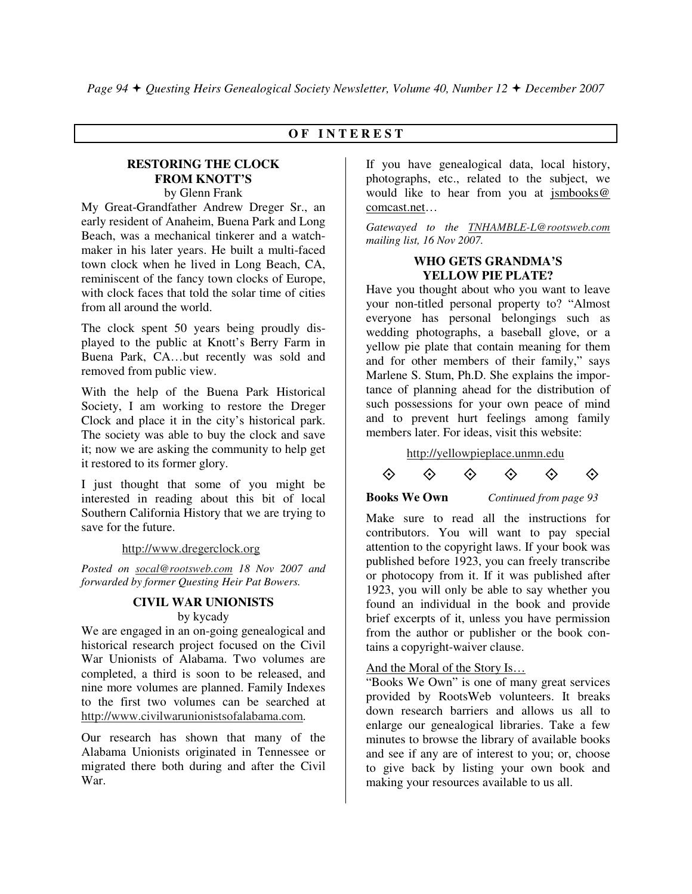## **O F I N T E R E S T**

#### **RESTORING THE CLOCK FROM KNOTT'S**  by Glenn Frank

My Great-Grandfather Andrew Dreger Sr., an early resident of Anaheim, Buena Park and Long Beach, was a mechanical tinkerer and a watchmaker in his later years. He built a multi-faced town clock when he lived in Long Beach, CA, reminiscent of the fancy town clocks of Europe, with clock faces that told the solar time of cities from all around the world.

The clock spent 50 years being proudly displayed to the public at Knott's Berry Farm in Buena Park, CA…but recently was sold and removed from public view.

With the help of the Buena Park Historical Society, I am working to restore the Dreger Clock and place it in the city's historical park. The society was able to buy the clock and save it; now we are asking the community to help get it restored to its former glory.

I just thought that some of you might be interested in reading about this bit of local Southern California History that we are trying to save for the future.

## http://www.dregerclock.org

*Posted on socal@rootsweb.com 18 Nov 2007 and forwarded by former Questing Heir Pat Bowers.* 

## **CIVIL WAR UNIONISTS**  by kycady

We are engaged in an on-going genealogical and historical research project focused on the Civil War Unionists of Alabama. Two volumes are completed, a third is soon to be released, and nine more volumes are planned. Family Indexes to the first two volumes can be searched at http://www.civilwarunionistsofalabama.com.

Our research has shown that many of the Alabama Unionists originated in Tennessee or migrated there both during and after the Civil War.

If you have genealogical data, local history, photographs, etc., related to the subject, we would like to hear from you at jsmbooks@ comcast.net…

*Gatewayed to the TNHAMBLE-L@rootsweb.com mailing list, 16 Nov 2007.* 

## **WHO GETS GRANDMA'S YELLOW PIE PLATE?**

Have you thought about who you want to leave your non-titled personal property to? "Almost everyone has personal belongings such as wedding photographs, a baseball glove, or a yellow pie plate that contain meaning for them and for other members of their family," says Marlene S. Stum, Ph.D. She explains the importance of planning ahead for the distribution of such possessions for your own peace of mind and to prevent hurt feelings among family members later. For ideas, visit this website:

http://yellowpieplace.unmn.edu

 $\Leftrightarrow$ 



#### **Books We Own** *Continued from page 93*

 $\diamondsuit$ 

 $\Leftrightarrow$ 

 $\diamondsuit$ 

Make sure to read all the instructions for contributors. You will want to pay special attention to the copyright laws. If your book was published before 1923, you can freely transcribe or photocopy from it. If it was published after 1923, you will only be able to say whether you found an individual in the book and provide brief excerpts of it, unless you have permission from the author or publisher or the book contains a copyright-waiver clause.

## And the Moral of the Story Is…

"Books We Own" is one of many great services provided by RootsWeb volunteers. It breaks down research barriers and allows us all to enlarge our genealogical libraries. Take a few minutes to browse the library of available books and see if any are of interest to you; or, choose to give back by listing your own book and making your resources available to us all.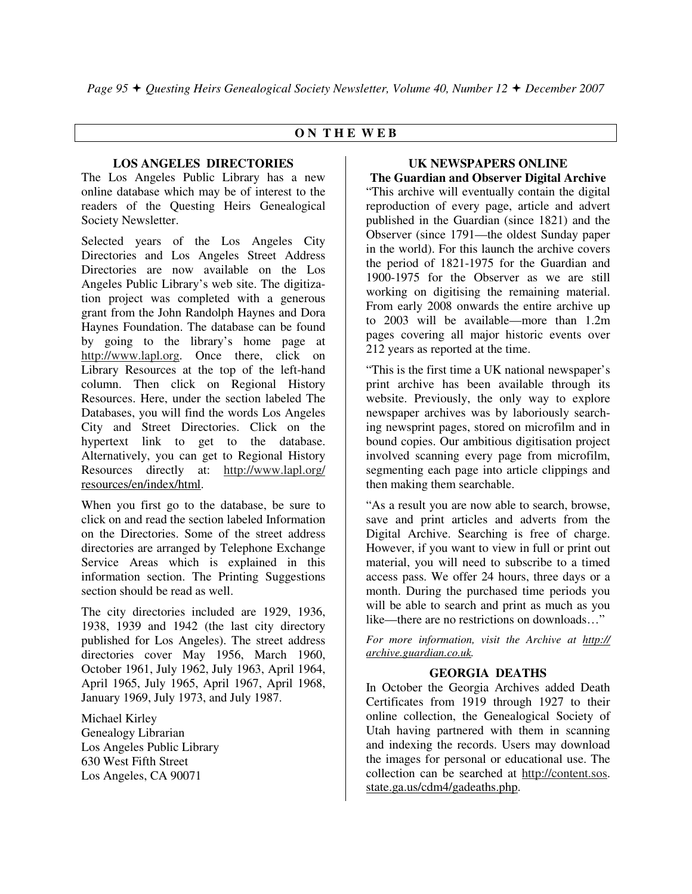## **O N T H E W E B**

## **LOS ANGELES DIRECTORIES**

The Los Angeles Public Library has a new online database which may be of interest to the readers of the Questing Heirs Genealogical Society Newsletter.

Selected years of the Los Angeles City Directories and Los Angeles Street Address Directories are now available on the Los Angeles Public Library's web site. The digitization project was completed with a generous grant from the John Randolph Haynes and Dora Haynes Foundation. The database can be found by going to the library's home page at http://www.lapl.org. Once there, click on Library Resources at the top of the left-hand column. Then click on Regional History Resources. Here, under the section labeled The Databases, you will find the words Los Angeles City and Street Directories. Click on the hypertext link to get to the database. Alternatively, you can get to Regional History Resources directly at: http://www.lapl.org/ resources/en/index/html.

When you first go to the database, be sure to click on and read the section labeled Information on the Directories. Some of the street address directories are arranged by Telephone Exchange Service Areas which is explained in this information section. The Printing Suggestions section should be read as well.

The city directories included are 1929, 1936, 1938, 1939 and 1942 (the last city directory published for Los Angeles). The street address directories cover May 1956, March 1960, October 1961, July 1962, July 1963, April 1964, April 1965, July 1965, April 1967, April 1968, January 1969, July 1973, and July 1987.

Michael Kirley Genealogy Librarian Los Angeles Public Library 630 West Fifth Street Los Angeles, CA 90071

#### **UK NEWSPAPERS ONLINE The Guardian and Observer Digital Archive**

"This archive will eventually contain the digital reproduction of every page, article and advert published in the Guardian (since 1821) and the Observer (since 1791—the oldest Sunday paper in the world). For this launch the archive covers the period of 1821-1975 for the Guardian and 1900-1975 for the Observer as we are still working on digitising the remaining material. From early 2008 onwards the entire archive up to 2003 will be available—more than 1.2m pages covering all major historic events over 212 years as reported at the time.

"This is the first time a UK national newspaper's print archive has been available through its website. Previously, the only way to explore newspaper archives was by laboriously searching newsprint pages, stored on microfilm and in bound copies. Our ambitious digitisation project involved scanning every page from microfilm, segmenting each page into article clippings and then making them searchable.

"As a result you are now able to search, browse, save and print articles and adverts from the Digital Archive. Searching is free of charge. However, if you want to view in full or print out material, you will need to subscribe to a timed access pass. We offer 24 hours, three days or a month. During the purchased time periods you will be able to search and print as much as you like—there are no restrictions on downloads...'

*For more information, visit the Archive at http:// archive.guardian.co.uk.* 

## **GEORGIA DEATHS**

In October the Georgia Archives added Death Certificates from 1919 through 1927 to their online collection, the Genealogical Society of Utah having partnered with them in scanning and indexing the records. Users may download the images for personal or educational use. The collection can be searched at http://content.sos. state.ga.us/cdm4/gadeaths.php.